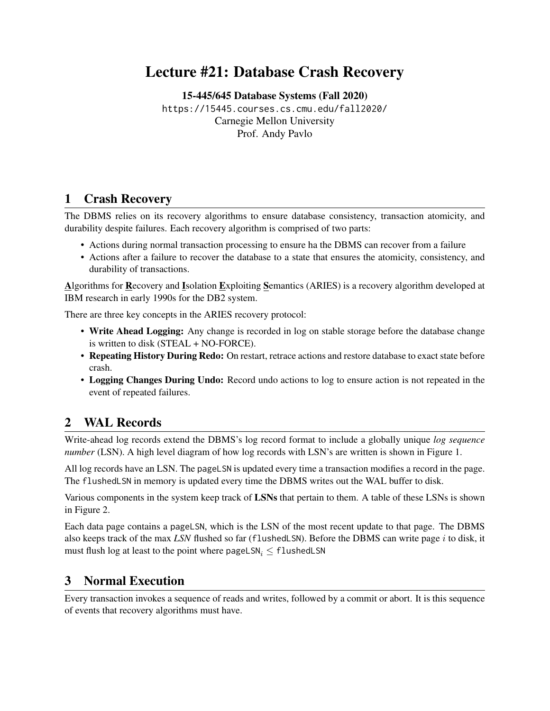# Lecture #21: Database Crash Recovery

[15-445/645 Database Systems \(Fall 2020\)](https://15445.courses.cs.cmu.edu/fall2020/) <https://15445.courses.cs.cmu.edu/fall2020/> Carnegie Mellon University [Prof. Andy Pavlo](http://www.cs.cmu.edu/~pavlo/)

# 1 Crash Recovery

The DBMS relies on its recovery algorithms to ensure database consistency, transaction atomicity, and durability despite failures. Each recovery algorithm is comprised of two parts:

- Actions during normal transaction processing to ensure ha the DBMS can recover from a failure
- Actions after a failure to recover the database to a state that ensures the atomicity, consistency, and durability of transactions.

Algorithms for Recovery and Isolation Exploiting Semantics (ARIES) is a recovery algorithm developed at IBM research in early 1990s for the DB2 system.

There are three key concepts in the ARIES recovery protocol:

- Write Ahead Logging: Any change is recorded in log on stable storage before the database change is written to disk (STEAL + NO-FORCE).
- Repeating History During Redo: On restart, retrace actions and restore database to exact state before crash.
- Logging Changes During Undo: Record undo actions to log to ensure action is not repeated in the event of repeated failures.

# 2 WAL Records

Write-ahead log records extend the DBMS's log record format to include a globally unique *log sequence number* (LSN). A high level diagram of how log records with LSN's are written is shown in [Figure 1.](#page-1-0)

All log records have an LSN. The pageLSN is updated every time a transaction modifies a record in the page. The flushedLSN in memory is updated every time the DBMS writes out the WAL buffer to disk.

Various components in the system keep track of LSNs that pertain to them. A table of these LSNs is shown in [Figure 2.](#page-1-1)

Each data page contains a pageLSN, which is the LSN of the most recent update to that page. The DBMS also keeps track of the max *LSN* flushed so far (flushedLSN). Before the DBMS can write page i to disk, it must flush log at least to the point where pageLSN<sub>i</sub>  $\leq$  flushedLSN

# 3 Normal Execution

Every transaction invokes a sequence of reads and writes, followed by a commit or abort. It is this sequence of events that recovery algorithms must have.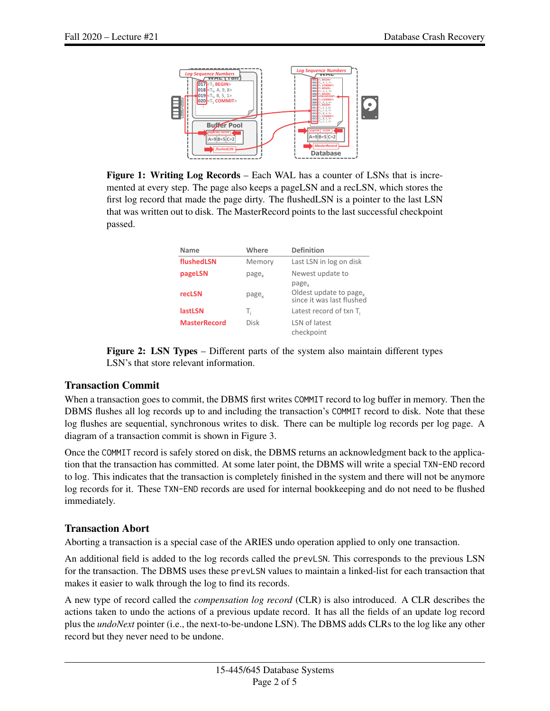<span id="page-1-0"></span>

<span id="page-1-1"></span>Figure 1: Writing Log Records – Each WAL has a counter of LSNs that is incremented at every step. The page also keeps a pageLSN and a recLSN, which stores the first log record that made the page dirty. The flushedLSN is a pointer to the last LSN that was written out to disk. The MasterRecord points to the last successful checkpoint 1 passed.

| Name                | Where             | <b>Definition</b>                                                                    |
|---------------------|-------------------|--------------------------------------------------------------------------------------|
| flushedLSN          | Memory            | Last LSN in log on disk                                                              |
| pageLSN             | page <sub>v</sub> | Newest update to                                                                     |
| recLSN              | page <sub>v</sub> | page <sub>v</sub><br>Oldest update to page <sub>v</sub><br>since it was last flushed |
| <b>lastLSN</b>      | Т,                | Latest record of txn $T_i$                                                           |
| <b>MasterRecord</b> | Disk              | LSN of latest<br>checkpoint                                                          |

Figure 2: LSN Types – Different parts of the system also maintain different types LSN's that store relevant information.

#### Transaction Commit

When a transaction goes to commit, the DBMS first writes COMMIT record to log buffer in memory. Then the DBMS flushes all log records up to and including the transaction's COMMIT record to disk. Note that these log flushes are sequential, synchronous writes to disk. There can be multiple log records per log page. A diagram of a transaction commit is shown in [Figure 3.](#page-2-0)

Once the COMMIT record is safely stored on disk, the DBMS returns an acknowledgment back to the application that the transaction has committed. At some later point, the DBMS will write a special TXN-END record to log. This indicates that the transaction is completely finished in the system and there will not be anymore log records for it. These TXN-END records are used for internal bookkeeping and do not need to be flushed immediately.

### Transaction Abort

Aborting a transaction is a special case of the ARIES undo operation applied to only one transaction.

An additional field is added to the log records called the prevLSN. This corresponds to the previous LSN for the transaction. The DBMS uses these prevLSN values to maintain a linked-list for each transaction that makes it easier to walk through the log to find its records.

A new type of record called the *compensation log record* (CLR) is also introduced. A CLR describes the actions taken to undo the actions of a previous update record. It has all the fields of an update log record plus the *undoNext* pointer (i.e., the next-to-be-undone LSN). The DBMS adds CLRs to the log like any other record but they never need to be undone.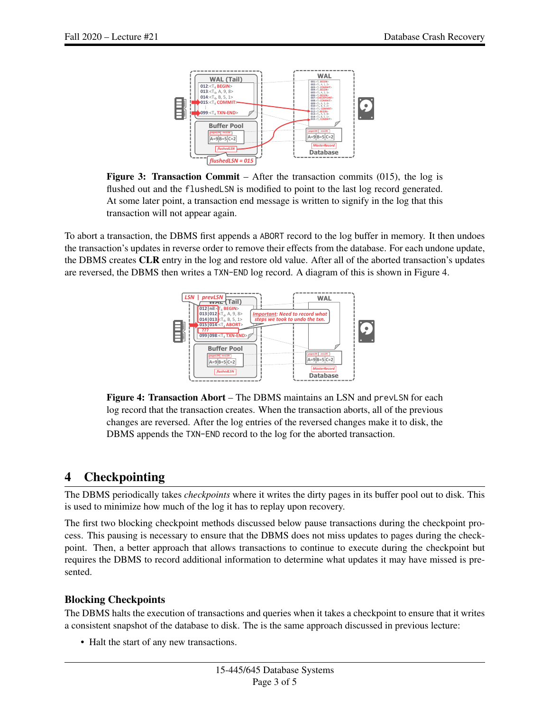1

<span id="page-2-0"></span>

Figure 3: Transaction Commit – After the transaction commits (015), the log is flushed out and the flushedLSN is modified to point to the last log record generated. At some later point, a transaction end message is written to signify in the log that this transaction will not appear again.

<span id="page-2-1"></span>To abort a transaction, the DBMS first appends a ABORT record to the log buffer in memory. It then undoes the transaction's updates in reverse order to remove their effects from the database. For each undone update, the DBMS creates CLR entry in the log and restore old value. After all of the aborted transaction's updates are reversed, the DBMS then writes a TXN-END log record. A diagram of this is shown in [Figure 4.](#page-2-1) 1



Figure 4: Transaction Abort - The DBMS maintains an LSN and prevLSN for each log record that the transaction creates. When the transaction aborts, all of the previous changes are reversed. After the log entries of the reversed changes make it to disk, the DBMS appends the TXN-END record to the log for the aborted transaction.

# 4 Checkpointing

The DBMS periodically takes *checkpoints* where it writes the dirty pages in its buffer pool out to disk. This is used to minimize how much of the log it has to replay upon recovery.

The first two blocking checkpoint methods discussed below pause transactions during the checkpoint process. This pausing is necessary to ensure that the DBMS does not miss updates to pages during the checkpoint. Then, a better approach that allows transactions to continue to execute during the checkpoint but requires the DBMS to record additional information to determine what updates it may have missed is presented.

### Blocking Checkpoints

The DBMS halts the execution of transactions and queries when it takes a checkpoint to ensure that it writes a consistent snapshot of the database to disk. The is the same approach discussed in previous lecture:

• Halt the start of any new transactions.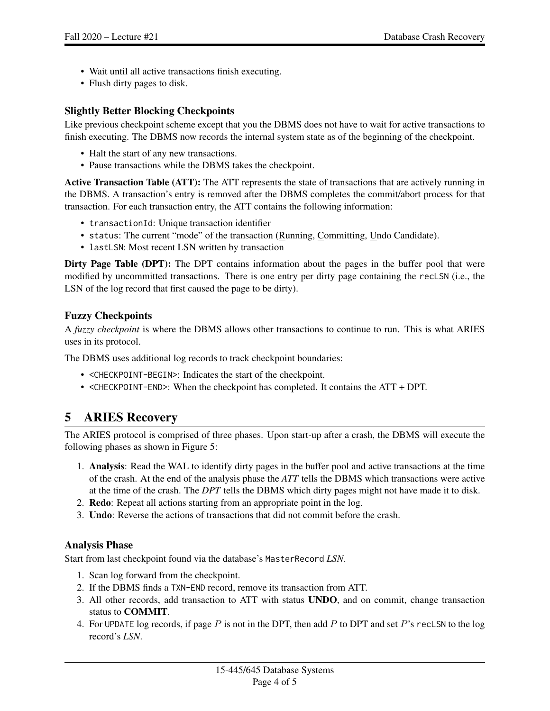- Wait until all active transactions finish executing.
- Flush dirty pages to disk.

### Slightly Better Blocking Checkpoints

Like previous checkpoint scheme except that you the DBMS does not have to wait for active transactions to finish executing. The DBMS now records the internal system state as of the beginning of the checkpoint.

- Halt the start of any new transactions.
- Pause transactions while the DBMS takes the checkpoint.

Active Transaction Table (ATT): The ATT represents the state of transactions that are actively running in the DBMS. A transaction's entry is removed after the DBMS completes the commit/abort process for that transaction. For each transaction entry, the ATT contains the following information:

- transactionId: Unique transaction identifier
- status: The current "mode" of the transaction (Running, Committing, Undo Candidate).
- lastLSN: Most recent LSN written by transaction

Dirty Page Table (DPT): The DPT contains information about the pages in the buffer pool that were modified by uncommitted transactions. There is one entry per dirty page containing the recLSN (i.e., the LSN of the log record that first caused the page to be dirty).

### Fuzzy Checkpoints

A *fuzzy checkpoint* is where the DBMS allows other transactions to continue to run. This is what ARIES uses in its protocol.

The DBMS uses additional log records to track checkpoint boundaries:

- <CHECKPOINT-BEGIN>: Indicates the start of the checkpoint.
- <CHECKPOINT-END>: When the checkpoint has completed. It contains the ATT + DPT.

# 5 ARIES Recovery

The ARIES protocol is comprised of three phases. Upon start-up after a crash, the DBMS will execute the following phases as shown in [Figure 5:](#page-4-1)

- 1. Analysis: Read the WAL to identify dirty pages in the buffer pool and active transactions at the time of the crash. At the end of the analysis phase the *ATT* tells the DBMS which transactions were active at the time of the crash. The *DPT* tells the DBMS which dirty pages might not have made it to disk.
- 2. Redo: Repeat all actions starting from an appropriate point in the log.
- 3. Undo: Reverse the actions of transactions that did not commit before the crash.

#### Analysis Phase

Start from last checkpoint found via the database's MasterRecord *LSN*.

- 1. Scan log forward from the checkpoint.
- 2. If the DBMS finds a TXN-END record, remove its transaction from ATT.
- 3. All other records, add transaction to ATT with status UNDO, and on commit, change transaction status to COMMIT.
- 4. For UPDATE log records, if page  $P$  is not in the DPT, then add  $P$  to DPT and set  $P$ 's recLSN to the log record's *LSN*.